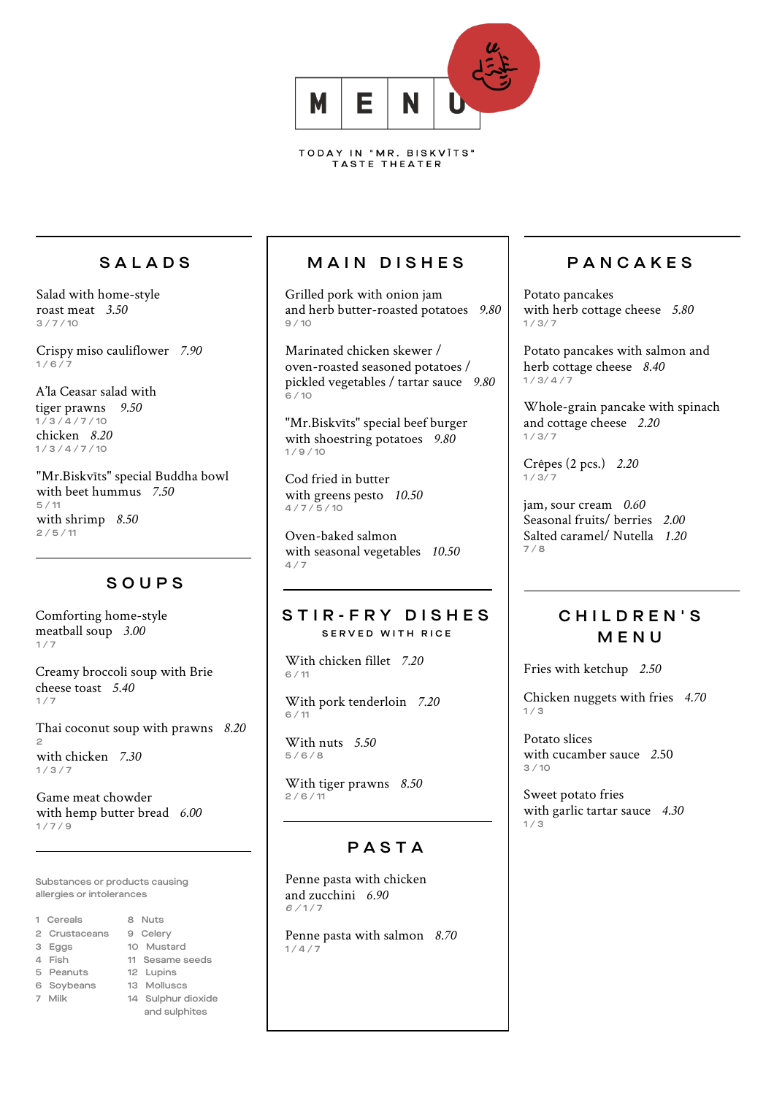

### SALADS

Salad with home-style roast meat *3.50*  $3/7/10$ 

Crispy miso cauliflower *7.90*  $1/6/7$ 

A'la Ceasar salad with tiger prawns *9.50*  $1/3/4/7/10$ chicken *8.20*  $1/3/4/7/10$ 

"Mr.Biskvīts" special Buddha bowl with beet hummus *7.50* 5 / 11 with shrimp *8.50*  $2/5/11$ 

### SOUP S

Comforting home-style meatball soup *3.00*  $1/7$ 

Creamy broccoli soup with Brie cheese toast *5.40*  $1/7$ 

Thai coconut soup with prawns *8.20* 2 with chicken *7.30*  $1/3/7$ 

Game meat chowder with hemp butter bread *6.00*  $1/7/9$ 

Substances or products causing allergies or intolerances

- 1 Cereals 8 Nuts
- 2 Crustaceans 9 Celery
- 
- 
- 
- 
- 
- 
- 3 Eggs 10 Mustard
- 4 Fish 11 Sesame seeds
- 5 Peanuts 12 Lupins
	-
- 6 Soybeans 13 Molluscs
- 7 Milk 14 Sulphur dioxide and sulphites

# MAIN DISHES

Grilled pork with onion jam and herb butter-roasted potatoes *9.80* 9 / 10

Marinated chicken skewer / oven-roasted seasoned potatoes / pickled vegetables / tartar sauce *9.80*  $6 / 10$ 

"Mr.Biskvīts" special beef burger with shoestring potatoes *9.80*  $1/9/10$ 

Cod fried in butter with greens pesto *10.50*  $4/7/5/10$ 

Oven-baked salmon with seasonal vegetables *10.50* 4 / 7

### STIR - FRY DISHES SERVED WITH RICE

With chicken fillet *7.20*  $6 / 11$ 

With pork tenderloin *7.20* 6 / 11

With nuts *5.50*  $5/6/8$ 

With tiger prawns *8.50*   $2/6/11$ 

# PASTA

Penne pasta with chicken and zucchini *6.90*  $6/1/7$ 

Penne pasta with salmon *8.70*  $1/4/7$ 

# **PANCAKES**

Potato pancakes with herb cottage cheese *5.80*  $1/3/7$ 

Potato pancakes with salmon and herb cottage cheese *8.40*  $1/3/4/7$ 

Whole-grain pancake with spinach and cottage cheese *2.20* 1 / 3/ 7

Crêpes (2 pcs.) *2.20*  $1/3/7$ 

jam, sour cream *0.60* Seasonal fruits/ berries *2.00* Salted caramel/ Nutella *1.20* 7 / 8

### CHILDREN'S MENU

Fries with ketchup *2.50*

Chicken nuggets with fries *4.70*  $1/3$ 

Potato slices with cucamber sauce *2.*50 3 / 10

Sweet potato fries with garlic tartar sauce *4.30*  $1/3$